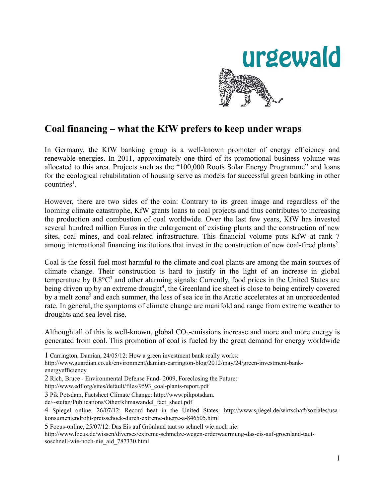

# **Coal financing – what the KfW prefers to keep under wraps**

In Germany, the KfW banking group is a well-known promoter of energy efficiency and renewable energies. In 2011, approximately one third of its promotional business volume was allocated to this area. Projects such as the "100,000 Roofs Solar Energy Programme" and loans for the ecological rehabilitation of housing serve as models for successful green banking in other  $countries<sup>1</sup>$  $countries<sup>1</sup>$  $countries<sup>1</sup>$ .

However, there are two sides of the coin: Contrary to its green image and regardless of the looming climate catastrophe, KfW grants loans to coal projects and thus contributes to increasing the production and combustion of coal worldwide. Over the last few years, KfW has invested several hundred million Euros in the enlargement of existing plants and the construction of new sites, coal mines, and coal-related infrastructure. This financial volume puts KfW at rank 7 among international financing institutions that invest in the construction of new coal-fired plants<sup>[2](#page-0-1)</sup>.

Coal is the fossil fuel most harmful to the climate and coal plants are among the main sources of climate change. Their construction is hard to justify in the light of an increase in global temperature by  $0.8^{\circ}C^3$  $0.8^{\circ}C^3$  and other alarming signals: Currently, food prices in the United States are being driven up by an extreme drought<sup>[4](#page-0-3)</sup>, the Greenland ice sheet is close to being entirely covered by a melt zone<sup>[5](#page-0-4)</sup> and each summer, the loss of sea ice in the Arctic accelerates at an unprecedented rate. In general, the symptoms of climate change are manifold and range from extreme weather to droughts and sea level rise.

Although all of this is well-known, global  $CO_2$ -emissions increase and more and more energy is generated from coal. This promotion of coal is fueled by the great demand for energy worldwide

de/~stefan/Publications/Other/klimawandel\_fact\_sheet.pdf

<span id="page-0-0"></span><sup>1</sup> Carrington, Damian, 24/05/12: How a green investment bank really works:

http://www.guardian.co.uk/environment/damian-carrington-blog/2012/may/24/green-investment-bankenergyefficiency

<span id="page-0-1"></span><sup>2</sup> Rich, Bruce - Environmental Defense Fund- 2009, Foreclosing the Future:

http://www.edf.org/sites/default/files/9593\_coal-plants-report.pdf

<span id="page-0-2"></span><sup>3</sup> Pik Potsdam, Factsheet Climate Change: http://www.pikpotsdam.

<span id="page-0-3"></span><sup>4</sup> Spiegel online, 26/07/12: Record heat in the United States: http://www.spiegel.de/wirtschaft/soziales/usakonsumentendroht-preisschock-durch-extreme-duerre-a-846505.html

<span id="page-0-4"></span><sup>5</sup> Focus-online, 25/07/12: Das Eis auf Grönland taut so schnell wie noch nie:

http://www.focus.de/wissen/diverses/extreme-schmelze-wegen-erderwaermung-das-eis-auf-groenland-tautsoschnell-wie-noch-nie\_aid\_787330.html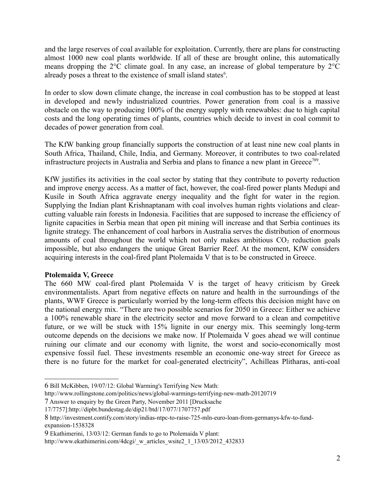and the large reserves of coal available for exploitation. Currently, there are plans for constructing almost 1000 new coal plants worldwide. If all of these are brought online, this automatically means dropping the 2°C climate goal. In any case, an increase of global temperature by 2°C already poses a threat to the existence of small island states<sup>[6](#page-1-0)</sup>.

In order to slow down climate change, the increase in coal combustion has to be stopped at least in developed and newly industrialized countries. Power generation from coal is a massive obstacle on the way to producing 100% of the energy supply with renewables: due to high capital costs and the long operating times of plants, countries which decide to invest in coal commit to decades of power generation from coal.

The KfW banking group financially supports the construction of at least nine new coal plants in South Africa, Thailand, Chile, India, and Germany. Moreover, it contributes to two coal-related infrastructure projects in Australia and Serbia and plans to finance a new plant in Greece<sup>[7](#page-1-1)[8](#page-1-2)[9](#page-1-3)</sup>.

KfW justifies its activities in the coal sector by stating that they contribute to poverty reduction and improve energy access. As a matter of fact, however, the coal-fired power plants Medupi and Kusile in South Africa aggravate energy inequality and the fight for water in the region. Supplying the Indian plant Krishnaptanam with coal involves human rights violations and clearcutting valuable rain forests in Indonesia. Facilities that are supposed to increase the efficiency of lignite capacities in Serbia mean that open pit mining will increase and that Serbia continues its lignite strategy. The enhancement of coal harbors in Australia serves the distribution of enormous amounts of coal throughout the world which not only makes ambitious  $CO<sub>2</sub>$  reduction goals impossible, but also endangers the unique Great Barrier Reef. At the moment, KfW considers acquiring interests in the coal-fired plant Ptolemaida V that is to be constructed in Greece.

# **Ptolemaida V, Greece**

The 660 MW coal-fired plant Ptolemaida V is the target of heavy criticism by Greek environmentalists. Apart from negative effects on nature and health in the surroundings of the plants, WWF Greece is particularly worried by the long-term effects this decision might have on the national energy mix. "There are two possible scenarios for 2050 in Greece: Either we achieve a 100% renewable share in the electricity sector and move forward to a clean and competitive future, or we will be stuck with 15% lignite in our energy mix. This seemingly long-term outcome depends on the decisions we make now. If Ptolemaida V goes ahead we will continue ruining our climate and our economy with lignite, the worst and socio-economically most expensive fossil fuel. These investments resemble an economic one-way street for Greece as there is no future for the market for coal-generated electricity", Achilleas Plitharas, anti-coal

http://www.rollingstone.com/politics/news/global-warmings-terrifying-new-math-20120719

<span id="page-1-0"></span><sup>6</sup> Bill McKibben, 19/07/12: Global Warming's Terrifying New Math:

<span id="page-1-1"></span><sup>7</sup> Answer to enquiry by the Green Party, November 2011 [Drucksache

<sup>17/7757]:</sup>http://dipbt.bundestag.de/dip21/btd/17/077/1707757.pdf

<span id="page-1-2"></span><sup>8</sup> http://investment.contify.com/story/indias-ntpc-to-raise-725-mln-euro-loan-from-germanys-kfw-to-fundexpansion-1538328

<span id="page-1-3"></span><sup>9</sup> Ekathimerini, 13/03/12: German funds to go to Ptolemaida V plant:

http://www.ekathimerini.com/4dcgi/\_w\_articles\_wsite2\_1\_13/03/2012\_432833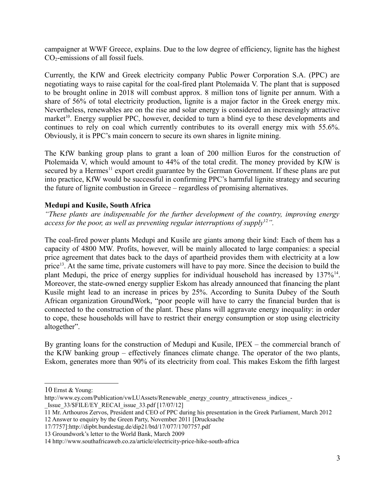campaigner at WWF Greece, explains. Due to the low degree of efficiency, lignite has the highest  $CO<sub>2</sub>$ -emissions of all fossil fuels.

Currently, the KfW and Greek electricity company Public Power Corporation S.A. (PPC) are negotiating ways to raise capital for the coal-fired plant Ptolemaida V. The plant that is supposed to be brought online in 2018 will combust approx. 8 million tons of lignite per annum. With a share of 56% of total electricity production, lignite is a major factor in the Greek energy mix. Nevertheless, renewables are on the rise and solar energy is considered an increasingly attractive market<sup>[10](#page-2-0)</sup>. Energy supplier PPC, however, decided to turn a blind eye to these developments and continues to rely on coal which currently contributes to its overall energy mix with 55.6%. Obviously, it is PPC's main concern to secure its own shares in lignite mining.

The KfW banking group plans to grant a loan of 200 million Euros for the construction of Ptolemaida V, which would amount to 44% of the total credit. The money provided by KfW is secured by a Hermes<sup>[11](#page-2-1)</sup> export credit guarantee by the German Government. If these plans are put into practice, KfW would be successful in confirming PPC's harmful lignite strategy and securing the future of lignite combustion in Greece – regardless of promising alternatives.

# **Medupi and Kusile, South Africa**

*"These plants are indispensable for the further development of the country, improving energy access for the poor, as well as preventing regular interruptions of supply*<sup>[12](#page-2-2)</sup>*"*.

The coal-fired power plants Medupi and Kusile are giants among their kind: Each of them has a capacity of 4800 MW. Profits, however, will be mainly allocated to large companies: a special price agreement that dates back to the days of apartheid provides them with electricity at a low price<sup>[13](#page-2-3)</sup>. At the same time, private customers will have to pay more. Since the decision to build the plant Medupi, the price of energy supplies for individual household has increased by 137%<sup>[14](#page-2-4)</sup>. Moreover, the state-owned energy supplier Eskom has already announced that financing the plant Kusile might lead to an increase in prices by 25%. According to Sunita Dubey of the South African organization GroundWork, "poor people will have to carry the financial burden that is connected to the construction of the plant. These plans will aggravate energy inequality: in order to cope, these households will have to restrict their energy consumption or stop using electricity altogether".

By granting loans for the construction of Medupi and Kusile, IPEX – the commercial branch of the KfW banking group – effectively finances climate change. The operator of the two plants, Eskom, generates more than 90% of its electricity from coal. This makes Eskom the fifth largest

http://www.ey.com/Publication/vwLUAssets/Renewable\_energy\_country\_attractiveness\_indices\_-Issue  $33/\$FILE/EY$  RECAI issue  $33.pdf$  [17/07/12]

<span id="page-2-0"></span><sup>10</sup> Ernst & Young:

<span id="page-2-1"></span><sup>11</sup> Mr. Arthouros Zervos, President and CEO of PPC during his presentation in the Greek Parliament, March 2012

<span id="page-2-2"></span><sup>12</sup> Answer to enquiry by the Green Party, November 2011 [Drucksache

<sup>17/7757]:</sup>http://dipbt.bundestag.de/dip21/btd/17/077/1707757.pdf

<span id="page-2-3"></span><sup>13</sup> Groundwork's letter to the World Bank, March 2009

<span id="page-2-4"></span><sup>14</sup> http://www.southafricaweb.co.za/article/electricity-price-hike-south-africa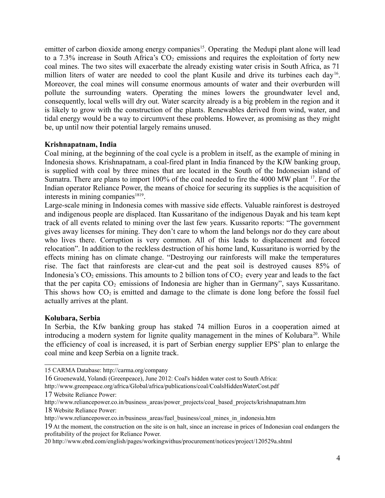emitter of carbon dioxide among energy companies<sup>[15](#page-3-0)</sup>. Operating the Medupi plant alone will lead to a 7.3% increase in South Africa's  $CO<sub>2</sub>$  emissions and requires the exploitation of forty new coal mines. The two sites will exacerbate the already existing water crisis in South Africa, as 71 million liters of water are needed to cool the plant Kusile and drive its turbines each day<sup>[16](#page-3-1)</sup>. Moreover, the coal mines will consume enormous amounts of water and their overburden will pollute the surrounding waters. Operating the mines lowers the groundwater level and, consequently, local wells will dry out. Water scarcity already is a big problem in the region and it is likely to grow with the construction of the plants. Renewables derived from wind, water, and tidal energy would be a way to circumvent these problems. However, as promising as they might be, up until now their potential largely remains unused.

## **Krishnapatnam, India**

Coal mining, at the beginning of the coal cycle is a problem in itself, as the example of mining in Indonesia shows. Krishnapatnam, a coal-fired plant in India financed by the KfW banking group, is supplied with coal by three mines that are located in the South of the Indonesian island of Sumatra. There are plans to import 100% of the coal needed to fire the 4000 MW plant <sup>[17](#page-3-2)</sup>. For the Indian operator Reliance Power, the means of choice for securing its supplies is the acquisition of interests in mining companies $1819$  $1819$ .

Large-scale mining in Indonesia comes with massive side effects. Valuable rainforest is destroyed and indigenous people are displaced. Itan Kussaritano of the indigenous Dayak and his team kept track of all events related to mining over the last few years. Kussarito reports: "The government gives away licenses for mining. They don't care to whom the land belongs nor do they care about who lives there. Corruption is very common. All of this leads to displacement and forced relocation". In addition to the reckless destruction of his home land, Kussaritano is worried by the effects mining has on climate change. "Destroying our rainforests will make the temperatures rise. The fact that rainforests are clear-cut and the peat soil is destroyed causes 85% of Indonesia's  $CO_2$  emissions. This amounts to 2 billion tons of  $CO_2$  every year and leads to the fact that the per capita  $CO<sub>2</sub>$  emissions of Indonesia are higher than in Germany", says Kussaritano. This shows how  $CO<sub>2</sub>$  is emitted and damage to the climate is done long before the fossil fuel actually arrives at the plant.

#### **Kolubara, Serbia**

In Serbia, the Kfw banking group has staked 74 million Euros in a cooperation aimed at introducing a modern system for lignite quality management in the mines of Kolubara<sup>[20](#page-3-5)</sup>. While the efficiency of coal is increased, it is part of Serbian energy supplier EPS' plan to enlarge the coal mine and keep Serbia on a lignite track.

<span id="page-3-0"></span><sup>15</sup> CARMA Database: http://carma.org/company

<span id="page-3-1"></span><sup>16</sup> Groenewald, Yolandi (Greenpeace), June 2012: Coal's hidden water cost to South Africa:

<span id="page-3-2"></span>http://www.greenpeace.org/africa/Global/africa/publications/coal/CoalsHiddenWaterCost.pdf 17 Website Reliance Power:

<span id="page-3-3"></span>http://www.reliancepower.co.in/business\_areas/power\_projects/coal\_based\_projects/krishnapatnam.htm 18 Website Reliance Power:

http://www.reliancepower.co.in/business\_areas/fuel\_business/coal\_mines\_in\_indonesia.htm

<span id="page-3-4"></span><sup>19</sup> At the moment, the construction on the site is on halt, since an increase in prices of Indonesian coal endangers the profitability of the project for Reliance Power.

<span id="page-3-5"></span><sup>20</sup> http://www.ebrd.com/english/pages/workingwithus/procurement/notices/project/120529a.shtml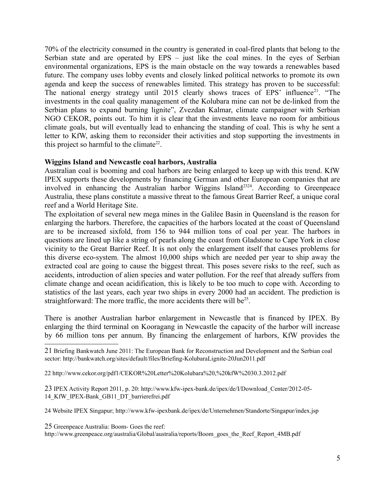70% of the electricity consumed in the country is generated in coal-fired plants that belong to the Serbian state and are operated by EPS – just like the coal mines. In the eyes of Serbian environmental organizations, EPS is the main obstacle on the way towards a renewables based future. The company uses lobby events and closely linked political networks to promote its own agenda and keep the success of renewables limited. This strategy has proven to be successful: The national energy strategy until 2015 clearly shows traces of EPS' influence<sup>[21](#page-4-0)</sup>. "The investments in the coal quality management of the Kolubara mine can not be de-linked from the Serbian plans to expand burning lignite", Zvezdan Kalmar, climate campaigner with Serbian NGO CEKOR, points out. To him it is clear that the investments leave no room for ambitious climate goals, but will eventually lead to enhancing the standing of coal. This is why he sent a letter to KfW, asking them to reconsider their activities and stop supporting the investments in this project so harmful to the climate<sup>[22](#page-4-1)</sup>.

#### **Wiggins Island and Newcastle coal harbors, Australia**

Australian coal is booming and coal harbors are being enlarged to keep up with this trend. KfW IPEX supports these developments by financing German and other European companies that are involved in enhancing the Australian harbor Wiggins Island<sup>[23](#page-4-2)[24](#page-4-3)</sup>. According to Greenpeace Australia, these plans constitute a massive threat to the famous Great Barrier Reef, a unique coral reef and a World Heritage Site.

The exploitation of several new mega mines in the Galilee Basin in Queensland is the reason for enlarging the harbors. Therefore, the capacities of the harbors located at the coast of Queensland are to be increased sixfold, from 156 to 944 million tons of coal per year. The harbors in questions are lined up like a string of pearls along the coast from Gladstone to Cape York in close vicinity to the Great Barrier Reef. It is not only the enlargement itself that causes problems for this diverse eco-system. The almost 10,000 ships which are needed per year to ship away the extracted coal are going to cause the biggest threat. This poses severe risks to the reef, such as accidents, introduction of alien species and water pollution. For the reef that already suffers from climate change and ocean acidification, this is likely to be too much to cope with. According to statistics of the last years, each year two ships in every 2000 had an accident. The prediction is straightforward: The more traffic, the more accidents there will be $^{25}$  $^{25}$  $^{25}$ .

There is another Australian harbor enlargement in Newcastle that is financed by IPEX. By enlarging the third terminal on Kooragang in Newcastle the capacity of the harbor will increase by 66 million tons per annum. By financing the enlargement of harbors, KfW provides the

<span id="page-4-2"></span>23 IPEX Activity Report 2011, p. 20: http://www.kfw-ipex-bank.de/ipex/de/I/Download\_Center/2012-05- 14\_KfW\_IPEX-Bank\_GB11\_DT\_barrierefrei.pdf

<span id="page-4-3"></span>24 Website IPEX Singapur; http://www.kfw-ipexbank.de/ipex/de/Unternehmen/Standorte/Singapur/index.jsp

<span id="page-4-4"></span>25 Greenpeace Australia: Boom- Goes the reef:

http://www.greenpeace.org/australia/Global/australia/reports/Boom\_goes\_the\_Reef\_Report\_4MB.pdf

<span id="page-4-0"></span><sup>21</sup> Briefing Bankwatch June 2011: The European Bank for Reconstruction and Development and the Serbian coal sector: http://bankwatch.org/sites/default/files/Briefing-KolubaraLignite-20Jun2011.pdf

<span id="page-4-1"></span><sup>22</sup> http://www.cekor.org/pdf1/CEKOR%20Letter%20Kolubara%20,%20kfW%2030.3.2012.pdf